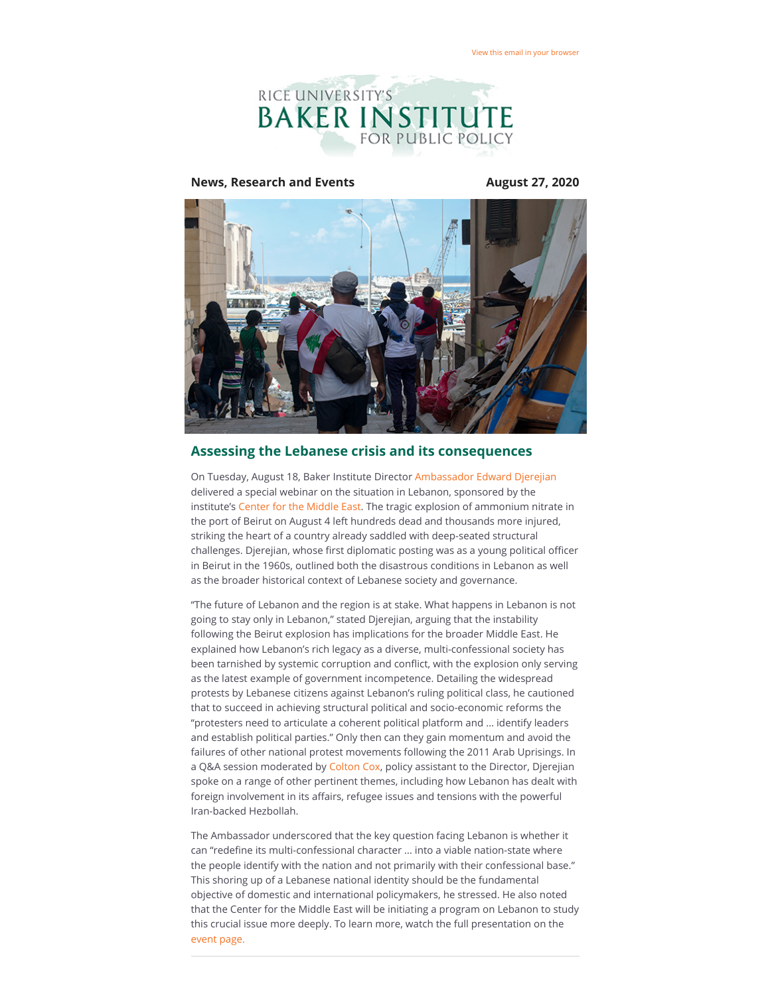

**News, Research and Events August 27, 2020** 



## **Assessing the Lebanese crisis and its consequences**

On Tuesday, August 18, Baker Institute Director [Ambassador Edward Djerejian](https://riceconnect.rice.edu/page.redir?target=https%3a%2f%2fwww.bakerinstitute.org%2fexperts%2fedward-p-djerejian%2f&srcid=150282&srctid=1&erid=fae3f93a-8d8f-4c47-b793-4693a4b9575a&trid=fae3f93a-8d8f-4c47-b793-4693a4b9575a) delivered a special webinar on the situation in Lebanon, sponsored by the institute's [Center for the Middle East](https://riceconnect.rice.edu/page.redir?target=https%3a%2f%2fwww.bakerinstitute.org%2fcenter-for-the-middle-east%2f&srcid=150282&srctid=1&erid=fae3f93a-8d8f-4c47-b793-4693a4b9575a&trid=fae3f93a-8d8f-4c47-b793-4693a4b9575a). The tragic explosion of ammonium nitrate in the port of Beirut on August 4 left hundreds dead and thousands more injured, striking the heart of a country already saddled with deep-seated structural challenges. Djerejian, whose first diplomatic posting was as a young political officer in Beirut in the 1960s, outlined both the disastrous conditions in Lebanon as well as the broader historical context of Lebanese society and governance.

"The future of Lebanon and the region is at stake. What happens in Lebanon is not going to stay only in Lebanon," stated Djerejian, arguing that the instability following the Beirut explosion has implications for the broader Middle East. He explained how Lebanon's rich legacy as a diverse, multi-confessional society has been tarnished by systemic corruption and conflict, with the explosion only serving as the latest example of government incompetence. Detailing the widespread protests by Lebanese citizens against Lebanon's ruling political class, he cautioned that to succeed in achieving structural political and socio-economic reforms the "protesters need to articulate a coherent political platform and … identify leaders and establish political parties." Only then can they gain momentum and avoid the failures of other national protest movements following the 2011 Arab Uprisings. In a Q&A session moderated by [Colton Cox](https://riceconnect.rice.edu/page.redir?target=https%3a%2f%2fwww.bakerinstitute.org%2fstaff%2fcolton-cox%2f&srcid=150282&srctid=1&erid=fae3f93a-8d8f-4c47-b793-4693a4b9575a&trid=fae3f93a-8d8f-4c47-b793-4693a4b9575a), policy assistant to the Director, Djerejian spoke on a range of other pertinent themes, including how Lebanon has dealt with foreign involvement in its affairs, refugee issues and tensions with the powerful Iran-backed Hezbollah.

The Ambassador underscored that the key question facing Lebanon is whether it can "redefine its multi-confessional character ... into a viable nation-state where the people identify with the nation and not primarily with their confessional base." This shoring up of a Lebanese national identity should be the fundamental objective of domestic and international policymakers, he stressed. He also noted that the Center for the Middle East will be initiating a program on Lebanon to study this crucial issue more deeply. To learn more, watch the full presentation on the [event page.](https://riceconnect.rice.edu/page.redir?target=https%3a%2f%2fwww.bakerinstitute.org%2fevents%2f2125%2f&srcid=150282&srctid=1&erid=fae3f93a-8d8f-4c47-b793-4693a4b9575a&trid=fae3f93a-8d8f-4c47-b793-4693a4b9575a)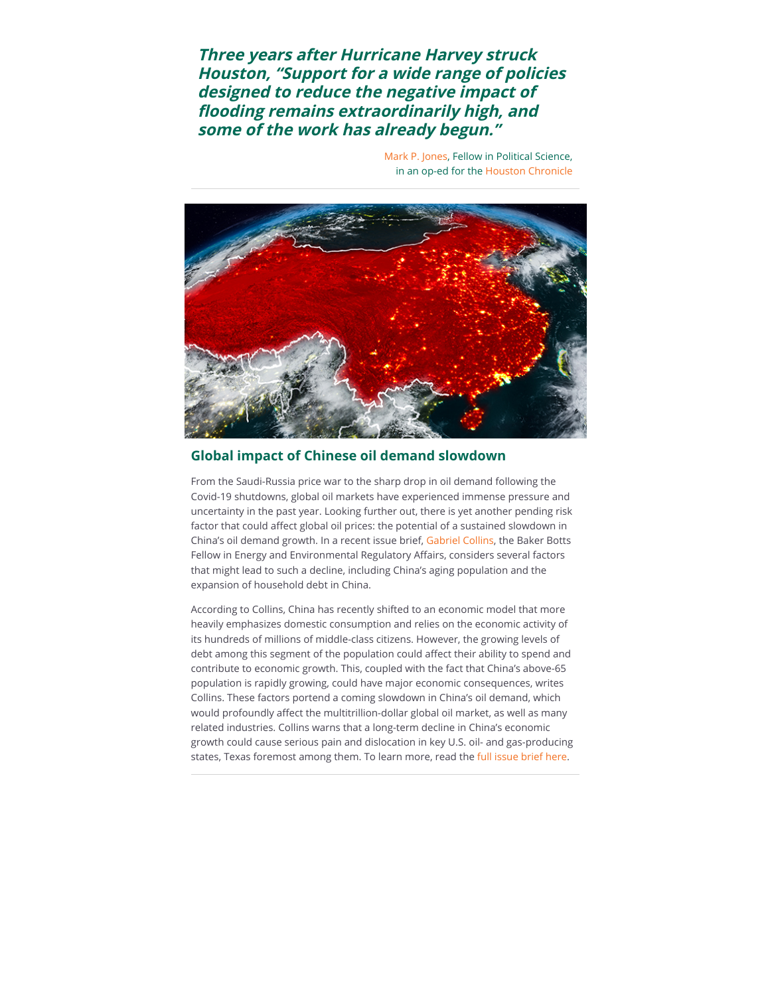**Three years after Hurricane Harvey struck Houston, "Support for a wide range of policies designed to reduce the negative impact of ooding remains extraordinarily high, and some of the work has already begun."**

> [Mark P. Jones,](https://riceconnect.rice.edu/page.redir?target=https%3a%2f%2fwww.bakerinstitute.org%2fexperts%2fmark-p-jones%2f&srcid=150282&srctid=1&erid=fae3f93a-8d8f-4c47-b793-4693a4b9575a&trid=fae3f93a-8d8f-4c47-b793-4693a4b9575a) Fellow in Political Science, in an op-ed for the [Houston Chronicle](https://riceconnect.rice.edu/page.redir?target=https%3a%2f%2fwww.houstonchronicle.com%2fopinion%2foutlook%2farticle%2fhouston-not-forgotten-hurricane-harvey-lessons-15505780.php&srcid=150282&srctid=1&erid=fae3f93a-8d8f-4c47-b793-4693a4b9575a&trid=fae3f93a-8d8f-4c47-b793-4693a4b9575a)



## **Global impact of Chinese oil demand slowdown**

From the Saudi-Russia price war to the sharp drop in oil demand following the Covid-19 shutdowns, global oil markets have experienced immense pressure and uncertainty in the past year. Looking further out, there is yet another pending risk factor that could affect global oil prices: the potential of a sustained slowdown in China's oil demand growth. In a recent issue brief, [Gabriel Collins,](https://riceconnect.rice.edu/page.redir?target=https%3a%2f%2fwww.bakerinstitute.org%2fexperts%2fgabe-collins%2f&srcid=150282&srctid=1&erid=fae3f93a-8d8f-4c47-b793-4693a4b9575a&trid=fae3f93a-8d8f-4c47-b793-4693a4b9575a) the Baker Botts Fellow in Energy and Environmental Regulatory Affairs, considers several factors that might lead to such a decline, including China's aging population and the expansion of household debt in China.

According to Collins, China has recently shifted to an economic model that more heavily emphasizes domestic consumption and relies on the economic activity of its hundreds of millions of middle-class citizens. However, the growing levels of debt among this segment of the population could affect their ability to spend and contribute to economic growth. This, coupled with the fact that China's above-65 population is rapidly growing, could have major economic consequences, writes Collins. These factors portend a coming slowdown in China's oil demand, which would profoundly affect the multitrillion-dollar global oil market, as well as many related industries. Collins warns that a long-term decline in China's economic growth could cause serious pain and dislocation in key U.S. oil- and gas-producing states, Texas foremost among them. To learn more, read the [full issue brief here](https://riceconnect.rice.edu/page.redir?target=https%3a%2f%2fwww.bakerinstitute.org%2fresearch%2fchinas-debt-bubble-and-demographic-stagnation-pose-major-risks-to-global-oil-pricesand-us-shale-pros%2f&srcid=150282&srctid=1&erid=fae3f93a-8d8f-4c47-b793-4693a4b9575a&trid=fae3f93a-8d8f-4c47-b793-4693a4b9575a).